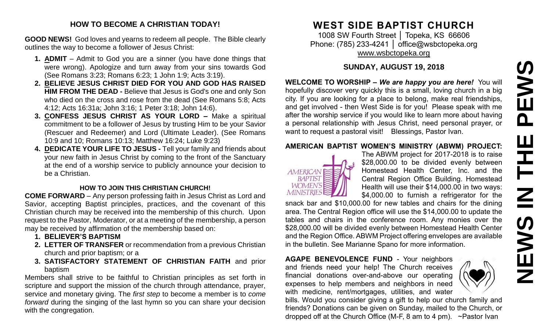# PEWS **NEWS IN THE PEWS**Ш **HH Z SVEMS**

#### **HOW TO BECOME A CHRISTIAN TODAY!**

**GOOD NEWS!** God loves and yearns to redeem all people. The Bible clearly outlines the way to become a follower of Jesus Christ:

- **1. ADMIT** Admit to God you are a sinner (you have done things that were wrong). Apologize and turn away from your sins towards God (See Romans 3:23; Romans 6:23; 1 John 1:9; Acts 3:19).
- **2. BELIEVE JESUS CHRIST DIED FOR YOU AND GOD HAS RAISED HIM FROM THE DEAD -** Believe that Jesus is God's one and only Son who died on the cross and rose from the dead (See Romans 5:8; Acts 4:12; Acts 16:31a; John 3:16; 1 Peter 3:18; John 14:6).
- **3. CONFESS JESUS CHRIST AS YOUR LORD –** Make a spiritual commitment to be a follower of Jesus by trusting Him to be your Savior (Rescuer and Redeemer) and Lord (Ultimate Leader). (See Romans 10:9 and 10; Romans 10:13; Matthew 16:24; Luke 9:23)
- **4. DEDICATE YOUR LIFE TO JESUS -** Tell your family and friends about your new faith in Jesus Christ by coming to the front of the Sanctuary at the end of a worship service to publicly announce your decision to be a Christian.

#### **HOW TO JOIN THIS CHRISTIAN CHURCH!**

**COME FORWARD** – Any person professing faith in Jesus Christ as Lord and Savior, accepting Baptist principles, practices, and the covenant of this Christian church may be received into the membership of this church. Upon request to the Pastor, Moderator, or at a meeting of the membership, a person may be received by affirmation of the membership based on:

- **1. BELIEVER'S BAPTISM**
- **2. LETTER OF TRANSFER** or recommendation from a previous Christian church and prior baptism; or a
- **3. SATISFACTORY STATEMENT OF CHRISTIAN FAITH** and prior baptism

Members shall strive to be faithful to Christian principles as set forth in scripture and support the mission of the church through attendance, prayer, service and monetary giving. The *first step* to become a member is to *come forward* during the singing of the last hymn so you can share your decision with the congregation.

# **WEST SIDE BAPTIST CHURCH**

1008 SW Fourth Street │ Topeka, KS 66606 Phone: (785) 233-4241 | [office@wsbctopeka.org](mailto:office@wsbctopeka.org) [www.wsbctopeka.org](http://www.wsbctopeka.org/)

#### **SUNDAY, AUGUST 19, 2018**

**WELCOME TO WORSHIP –** *We are happy you are here!* You will hopefully discover very quickly this is a small, loving church in a big city. If you are looking for a place to belong, make real friendships, and get involved - then West Side is for you! Please speak with me after the worship service if you would like to learn more about having a personal relationship with Jesus Christ, need personal prayer, or want to request a pastoral visit! Blessings, Pastor Ivan.

#### **AMERICAN BAPTIST WOMEN'S MINISTRY (ABWM) PROJECT:**



The ABWM project for 2017-2018 is to raise \$28,000.00 to be divided evenly between Homestead Health Center, Inc. and the Central Region Office Building. Homestead Health will use their \$14,000.00 in two ways: \$4,000.00 to furnish a refrigerator for the

snack bar and \$10,000.00 for new tables and chairs for the dining area. The Central Region office will use the \$14,000.00 to update the tables and chairs in the conference room. Any monies over the \$28,000.00 will be divided evenly between Homestead Health Center and the Region Office. ABWM Project offering envelopes are available in the bulletin. See Marianne Spano for more information.

**AGAPE BENEVOLENCE FUND** - Your neighbors and friends need your help! The Church receives financial donations over-and-above our operating expenses to help members and neighbors in need with medicine, rent/mortgages, utilities, and water



bills. Would you consider giving a gift to help our church family and friends? Donations can be given on Sunday, mailed to the Church, or dropped off at the Church Office (M-F, 8 am to 4 pm). ~Pastor Ivan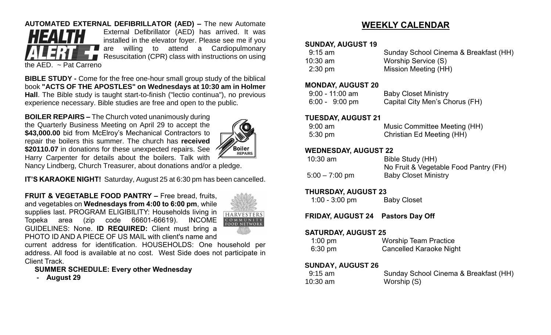#### **AUTOMATED EXTERNAL DEFIBRILLATOR (AED) –** The new Automate



External Defibrillator (AED) has arrived. It was installed in the elevator foyer. Please see me if you are willing to attend a Cardiopulmonary Resuscitation (CPR) class with instructions on using

the AED. ~ Pat Carreno

**BIBLE STUDY -** Come for the free one-hour small group study of the biblical book **"ACTS OF THE APOSTLES" on Wednesdays at 10:30 am in Holmer Hall**. The Bible study is taught start-to-finish ("lectio continua"), no previous experience necessary. Bible studies are free and open to the public.

**BOILER REPAIRS –** The Church voted unanimously during the Quarterly Business Meeting on April 29 to accept the \$43,000.00 bid from McElroy's Mechanical Contractors to repair the boilers this summer. The church has **received \$20110.07** in donations for these unexpected repairs. See Harry Carpenter for details about the boilers. Talk with



Nancy Lindberg, Church Treasurer, about donations and/or a pledge.

**IT'S KARAOKE NIGHT!** Saturday, August 25 at 6:30 pm has been cancelled.

**FRUIT & VEGETABLE FOOD PANTRY –** Free bread, fruits, and vegetables on **Wednesdays from 4:00 to 6:00 pm**, while supplies last. PROGRAM ELIGIBILITY: Households living in Topeka area (zip code 66601-66619). INCOME GUIDELINES: None. **ID REQUIRED:** Client must bring a PHOTO ID AND A PIECE OF US MAIL with client's name and



current address for identification. HOUSEHOLDS: One household per address. All food is available at no cost. West Side does not participate in Client Track.

**SUMMER SCHEDULE: Every other Wednesday**

**- August 29**

## **WEEKLY CALENDAR**

#### **SUNDAY, AUGUST 19**

| 9:15 am           | Sunday School Cinema & Breakfast (HH) |
|-------------------|---------------------------------------|
| 10:30 am          | Worship Service (S)                   |
| $2:30 \text{ pm}$ | Mission Meeting (HH)                  |

#### **MONDAY, AUGUST 20**

| $9:00 - 11:00$ am        | <b>Baby Closet Ministry</b>    |
|--------------------------|--------------------------------|
| $6:00 - 9:00 \text{ pm}$ | Capital City Men's Chorus (FH) |

#### **TUESDAY, AUGUST 21**

| $9:00 \text{ am}$ | Music Committee Meeting (HH) |
|-------------------|------------------------------|
| $5:30 \text{ pm}$ | Christian Ed Meeting (HH)    |

#### **WEDNESDAY, AUGUST 22**

| 10:30 am         | Bible Study (HH)                      |
|------------------|---------------------------------------|
|                  | No Fruit & Vegetable Food Pantry (FH) |
| $5:00 - 7:00$ pm | <b>Baby Closet Ministry</b>           |

#### **THURSDAY, AUGUST 23**

1:00 - 3:00 pm Baby Closet

#### **FRIDAY, AUGUST 24 Pastors Day Off**

#### **SATURDAY, AUGUST 25**

| $1:00$ pm         | <b>Worship Team Practice</b>   |
|-------------------|--------------------------------|
| $6:30 \text{ pm}$ | <b>Cancelled Karaoke Night</b> |

#### **SUNDAY, AUGUST 26**

| $9:15 \text{ am}$ | Sunday School Cinema & Breakfast (HH) |
|-------------------|---------------------------------------|
| $10:30$ am        | Worship (S)                           |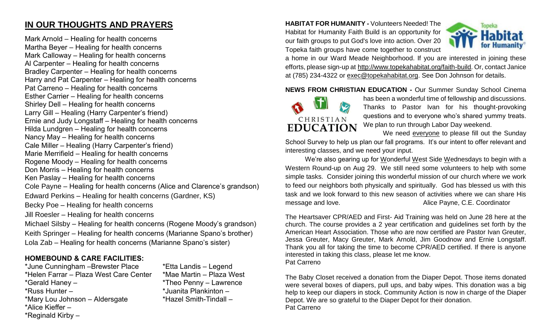## **IN OUR THOUGHTS AND PRAYERS**

Mark Arnold – Healing for health concerns Martha Beyer – Healing for health concerns Mark Calloway – Healing for health concerns Al Carpenter – Healing for health concerns Bradley Carpenter – Healing for health concerns Harry and Pat Carpenter – Healing for health concerns Pat Carreno – Healing for health concerns Esther Carrier – Healing for health concerns Shirley Dell – Healing for health concerns Larry Gill – Healing (Harry Carpenter's friend) Ernie and Judy Longstaff – Healing for health concerns Hilda Lundgren – Healing for health concerns Nancy May – Healing for health concerns Cale Miller – Healing (Harry Carpenter's friend) Marie Merrifield – Healing for health concerns Rogene Moody – Healing for health concerns Don Morris – Healing for health concerns Ken Paslay – Healing for health concerns Cole Payne – Healing for health concerns (Alice and Clarence's grandson) Edward Perkins – Healing for health concerns (Gardner, KS) Becky Poe – Healing for health concerns Jill Roesler – Healing for health concerns Michael Silsby – Healing for health concerns (Rogene Moody's grandson) Keith Springer – Healing for health concerns (Marianne Spano's brother)

# Lola Zab – Healing for health concerns (Marianne Spano's sister)

### **HOMEBOUND & CARE FACILITIES:**

\*June Cunningham –Brewster Place \*Etta Landis – Legend \*Helen Farrar – Plaza West Care Center \*Mae Martin – Plaza West \*Gerald Haney – \*Theo Penny – Lawrence \*Russ Hunter – \* \*Juanita Plankinton – \*Mary Lou Johnson – Aldersgate \*Hazel Smith-Tindall – \*Alice Kieffer – \*Reginald Kirby –

**HABITAT FOR HUMANITY -** Volunteers Needed! The Habitat for Humanity Faith Build is an opportunity for our faith groups to put God's love into action. Over 20 Topeka faith groups have come together to construct



a home in our Ward Meade Neighborhood. If you are interested in joining these efforts, please sign-up at [http://www.topekahabitat.org/faith-build.](http://www.topekahabitat.org/faith-build) Or, contact Janice at (785) 234-4322 or [exec@topekahabitat.org.](mailto:exec@topekahabitat.org) See Don Johnson for details.

**NEWS FROM CHRISTIAN EDUCATION -** Our Summer Sunday School Cinema



has been a wonderful time of fellowship and discussions. Thanks to Pastor Ivan for his thought-provoking questions and to everyone who's shared yummy treats. We plan to run through Labor Day weekend.

We need everyone to please fill out the Sunday

School Survey to help us plan our fall programs. It's our intent to offer relevant and interesting classes, and we need your input.

We're also gearing up for Wonderful West Side Wednesdays to begin with a Western Round-up on Aug 29. We still need some volunteers to help with some simple tasks. Consider joining this wonderful mission of our church where we work to feed our neighbors both physically and spiritually. God has blessed us with this task and we look forward to this new season of activities where we can share His message and love. The same of the C.E. Coordinator and the Alice Payne, C.E. Coordinator

The Heartsaver CPR/AED and First- Aid Training was held on June 28 here at the church. The course provides a 2 year certification and guidelines set forth by the American Heart Association. Those who are now certified are Pastor Ivan Greuter, Jessa Greuter, Macy Greuter, Mark Arnold, Jim Goodnow and Ernie Longstaff. Thank you all for taking the time to become CPR/AED certified. If there is anyone interested in taking this class, please let me know. Pat Carreno

The Baby Closet received a donation from the Diaper Depot. Those items donated were several boxes of diapers, pull ups, and baby wipes. This donation was a big help to keep our diapers in stock. Community Action is now in charge of the Diaper Depot. We are so grateful to the Diaper Depot for their donation. Pat Carreno